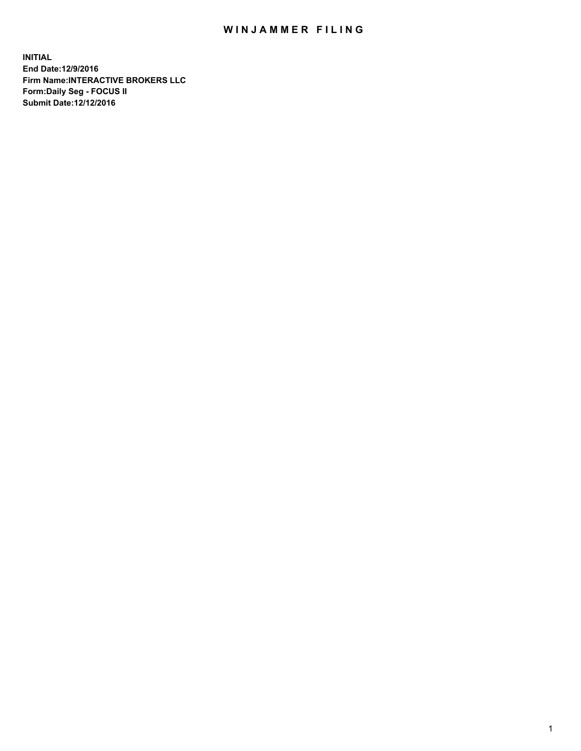## WIN JAMMER FILING

**INITIAL End Date:12/9/2016 Firm Name:INTERACTIVE BROKERS LLC Form:Daily Seg - FOCUS II Submit Date:12/12/2016**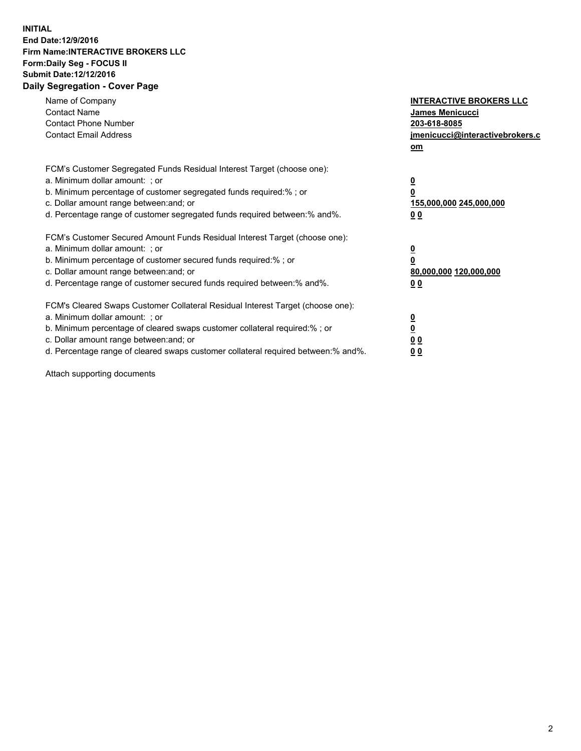## **INITIAL End Date:12/9/2016 Firm Name:INTERACTIVE BROKERS LLC Form:Daily Seg - FOCUS II Submit Date:12/12/2016 Daily Segregation - Cover Page**

| Name of Company<br><b>Contact Name</b><br><b>Contact Phone Number</b><br><b>Contact Email Address</b>                                                                                                                                                                                                                          | <b>INTERACTIVE BROKERS LLC</b><br><b>James Menicucci</b><br>203-618-8085<br>jmenicucci@interactivebrokers.c<br>om |
|--------------------------------------------------------------------------------------------------------------------------------------------------------------------------------------------------------------------------------------------------------------------------------------------------------------------------------|-------------------------------------------------------------------------------------------------------------------|
| FCM's Customer Segregated Funds Residual Interest Target (choose one):<br>a. Minimum dollar amount: ; or<br>b. Minimum percentage of customer segregated funds required:%; or<br>c. Dollar amount range between: and; or<br>d. Percentage range of customer segregated funds required between:% and%.                          | $\overline{\mathbf{0}}$<br>0<br>155,000,000 245,000,000<br>0 <sub>0</sub>                                         |
| FCM's Customer Secured Amount Funds Residual Interest Target (choose one):<br>a. Minimum dollar amount: ; or<br>b. Minimum percentage of customer secured funds required:%; or<br>c. Dollar amount range between: and; or<br>d. Percentage range of customer secured funds required between: % and %.                          | $\overline{\mathbf{0}}$<br>0<br>80,000,000 120,000,000<br>0 <sub>0</sub>                                          |
| FCM's Cleared Swaps Customer Collateral Residual Interest Target (choose one):<br>a. Minimum dollar amount: ; or<br>b. Minimum percentage of cleared swaps customer collateral required:% ; or<br>c. Dollar amount range between: and; or<br>d. Percentage range of cleared swaps customer collateral required between:% and%. | $\overline{\mathbf{0}}$<br>$\overline{\mathbf{0}}$<br>0 <sub>0</sub><br><u>00</u>                                 |

Attach supporting documents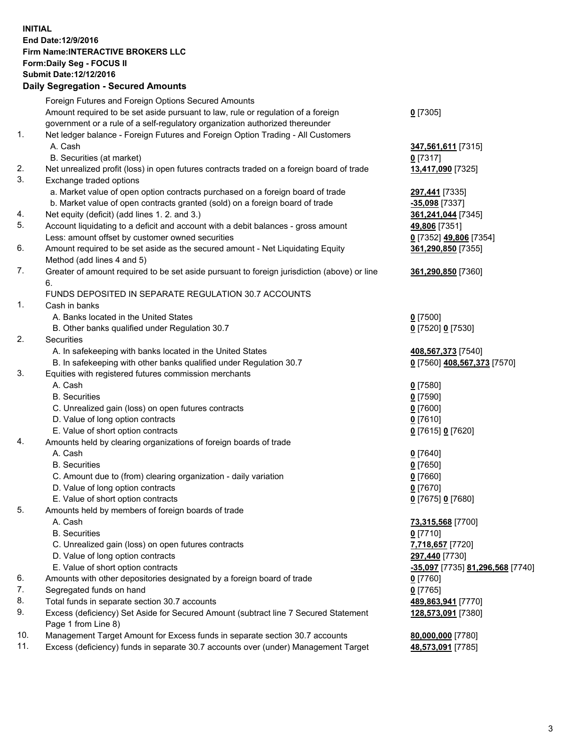## **INITIAL End Date:12/9/2016 Firm Name:INTERACTIVE BROKERS LLC Form:Daily Seg - FOCUS II Submit Date:12/12/2016 Daily Segregation - Secured Amounts**

|     | Daily Segregation - Secured Amounts                                                         |                                  |
|-----|---------------------------------------------------------------------------------------------|----------------------------------|
|     | Foreign Futures and Foreign Options Secured Amounts                                         |                                  |
|     | Amount required to be set aside pursuant to law, rule or regulation of a foreign            | $0$ [7305]                       |
|     | government or a rule of a self-regulatory organization authorized thereunder                |                                  |
| 1.  | Net ledger balance - Foreign Futures and Foreign Option Trading - All Customers             |                                  |
|     |                                                                                             |                                  |
|     | A. Cash                                                                                     | 347,561,611 [7315]               |
|     | B. Securities (at market)                                                                   | $0$ [7317]                       |
| 2.  | Net unrealized profit (loss) in open futures contracts traded on a foreign board of trade   | 13,417,090 [7325]                |
| 3.  | Exchange traded options                                                                     |                                  |
|     | a. Market value of open option contracts purchased on a foreign board of trade              | 297,441 [7335]                   |
|     | b. Market value of open contracts granted (sold) on a foreign board of trade                | $-35,098$ [7337]                 |
| 4.  | Net equity (deficit) (add lines 1.2. and 3.)                                                | 361,241,044 [7345]               |
| 5.  | Account liquidating to a deficit and account with a debit balances - gross amount           | 49,806 [7351]                    |
|     | Less: amount offset by customer owned securities                                            | 0 [7352] 49,806 [7354]           |
| 6.  | Amount required to be set aside as the secured amount - Net Liquidating Equity              | 361,290,850 [7355]               |
|     | Method (add lines 4 and 5)                                                                  |                                  |
| 7.  |                                                                                             |                                  |
|     | Greater of amount required to be set aside pursuant to foreign jurisdiction (above) or line | 361,290,850 [7360]               |
|     | 6.                                                                                          |                                  |
|     | FUNDS DEPOSITED IN SEPARATE REGULATION 30.7 ACCOUNTS                                        |                                  |
| 1.  | Cash in banks                                                                               |                                  |
|     | A. Banks located in the United States                                                       | $0$ [7500]                       |
|     | B. Other banks qualified under Regulation 30.7                                              | 0 [7520] 0 [7530]                |
| 2.  | Securities                                                                                  |                                  |
|     | A. In safekeeping with banks located in the United States                                   | 408,567,373 [7540]               |
|     | B. In safekeeping with other banks qualified under Regulation 30.7                          | 0 [7560] 408,567,373 [7570]      |
| 3.  | Equities with registered futures commission merchants                                       |                                  |
|     | A. Cash                                                                                     | $0$ [7580]                       |
|     | <b>B.</b> Securities                                                                        | $0$ [7590]                       |
|     |                                                                                             | $0$ [7600]                       |
|     | C. Unrealized gain (loss) on open futures contracts                                         |                                  |
|     | D. Value of long option contracts                                                           | $0$ [7610]                       |
|     | E. Value of short option contracts                                                          | 0 [7615] 0 [7620]                |
| 4.  | Amounts held by clearing organizations of foreign boards of trade                           |                                  |
|     | A. Cash                                                                                     | $0$ [7640]                       |
|     | <b>B.</b> Securities                                                                        | $0$ [7650]                       |
|     | C. Amount due to (from) clearing organization - daily variation                             | $0$ [7660]                       |
|     | D. Value of long option contracts                                                           | $0$ [7670]                       |
|     | E. Value of short option contracts                                                          | 0 [7675] 0 [7680]                |
| 5.  | Amounts held by members of foreign boards of trade                                          |                                  |
|     | A. Cash                                                                                     | 73,315,568 [7700]                |
|     | <b>B.</b> Securities                                                                        | $0$ [7710]                       |
|     | C. Unrealized gain (loss) on open futures contracts                                         | 7,718,657 [7720]                 |
|     | D. Value of long option contracts                                                           | 297,440 [7730]                   |
|     | E. Value of short option contracts                                                          |                                  |
|     |                                                                                             | -35,097 [7735] 81,296,568 [7740] |
| 6.  | Amounts with other depositories designated by a foreign board of trade                      | 0 [7760]                         |
| 7.  | Segregated funds on hand                                                                    | $0$ [7765]                       |
| 8.  | Total funds in separate section 30.7 accounts                                               | 489,863,941 [7770]               |
| 9.  | Excess (deficiency) Set Aside for Secured Amount (subtract line 7 Secured Statement         | 128,573,091 [7380]               |
|     | Page 1 from Line 8)                                                                         |                                  |
| 10. | Management Target Amount for Excess funds in separate section 30.7 accounts                 | 80,000,000 [7780]                |
| 11. | Excess (deficiency) funds in separate 30.7 accounts over (under) Management Target          | 48,573,091 [7785]                |
|     |                                                                                             |                                  |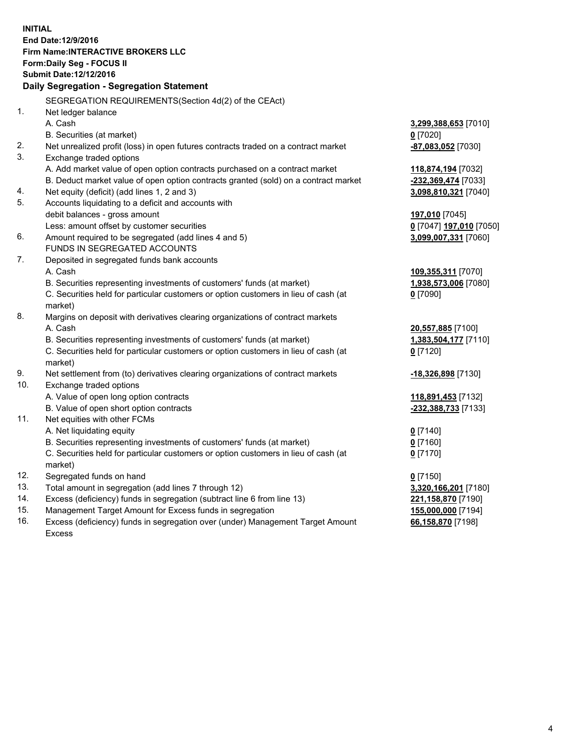**INITIAL End Date:12/9/2016 Firm Name:INTERACTIVE BROKERS LLC Form:Daily Seg - FOCUS II Submit Date:12/12/2016 Daily Segregation - Segregation Statement** SEGREGATION REQUIREMENTS(Section 4d(2) of the CEAct) 1. Net ledger balance A. Cash **3,299,388,653** [7010] B. Securities (at market) **0** [7020] 2. Net unrealized profit (loss) in open futures contracts traded on a contract market **-87,083,052** [7030] 3. Exchange traded options A. Add market value of open option contracts purchased on a contract market **118,874,194** [7032] B. Deduct market value of open option contracts granted (sold) on a contract market **-232,369,474** [7033] 4. Net equity (deficit) (add lines 1, 2 and 3) **3,098,810,321** [7040] 5. Accounts liquidating to a deficit and accounts with debit balances - gross amount **197,010** [7045] Less: amount offset by customer securities **0** [7047] **197,010** [7050] 6. Amount required to be segregated (add lines 4 and 5) **3,099,007,331** [7060] FUNDS IN SEGREGATED ACCOUNTS 7. Deposited in segregated funds bank accounts A. Cash **109,355,311** [7070] B. Securities representing investments of customers' funds (at market) **1,938,573,006** [7080] C. Securities held for particular customers or option customers in lieu of cash (at market) **0** [7090] 8. Margins on deposit with derivatives clearing organizations of contract markets A. Cash **20,557,885** [7100] B. Securities representing investments of customers' funds (at market) **1,383,504,177** [7110] C. Securities held for particular customers or option customers in lieu of cash (at market) **0** [7120] 9. Net settlement from (to) derivatives clearing organizations of contract markets **-18,326,898** [7130] 10. Exchange traded options A. Value of open long option contracts **118,891,453** [7132] B. Value of open short option contracts **-232,388,733** [7133] 11. Net equities with other FCMs A. Net liquidating equity **0** [7140] B. Securities representing investments of customers' funds (at market) **0** [7160] C. Securities held for particular customers or option customers in lieu of cash (at market) **0** [7170] 12. Segregated funds on hand **0** [7150] 13. Total amount in segregation (add lines 7 through 12) **3,320,166,201** [7180] 14. Excess (deficiency) funds in segregation (subtract line 6 from line 13) **221,158,870** [7190] 15. Management Target Amount for Excess funds in segregation **155,000,000** [7194]

16. Excess (deficiency) funds in segregation over (under) Management Target Amount Excess

**66,158,870** [7198]